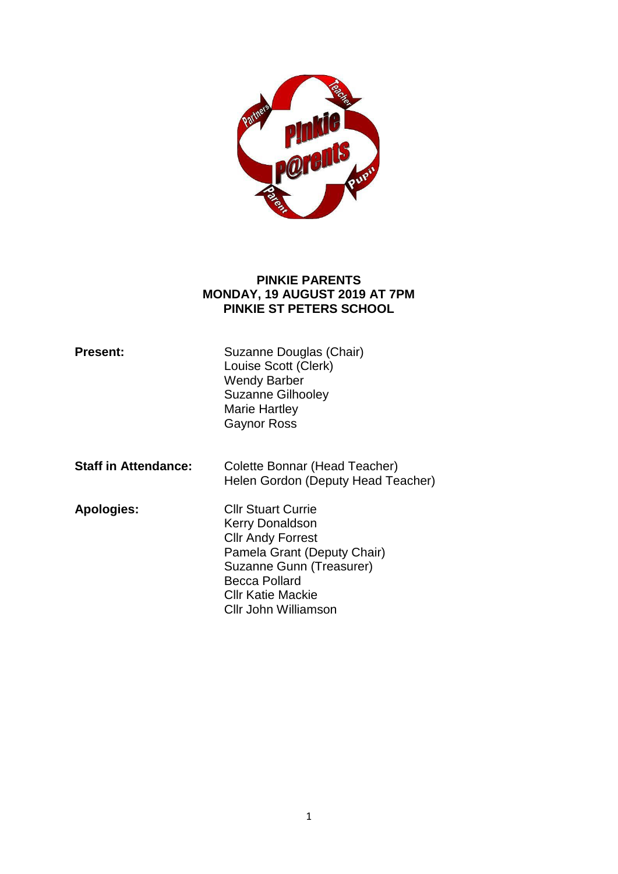

#### **PINKIE PARENTS MONDAY, 19 AUGUST 2019 AT 7PM PINKIE ST PETERS SCHOOL**

| <b>Present:</b>             | Suzanne Douglas (Chair)<br>Louise Scott (Clerk)<br><b>Wendy Barber</b><br><b>Suzanne Gilhooley</b><br>Marie Hartley<br><b>Gaynor Ross</b>                                                                |
|-----------------------------|----------------------------------------------------------------------------------------------------------------------------------------------------------------------------------------------------------|
| <b>Staff in Attendance:</b> | Colette Bonnar (Head Teacher)<br>Helen Gordon (Deputy Head Teacher)                                                                                                                                      |
| <b>Apologies:</b>           | <b>CIIr Stuart Currie</b><br>Kerry Donaldson<br><b>Cllr Andy Forrest</b><br>Pamela Grant (Deputy Chair)<br>Suzanne Gunn (Treasurer)<br><b>Becca Pollard</b><br>Cllr Katie Mackie<br>Cllr John Williamson |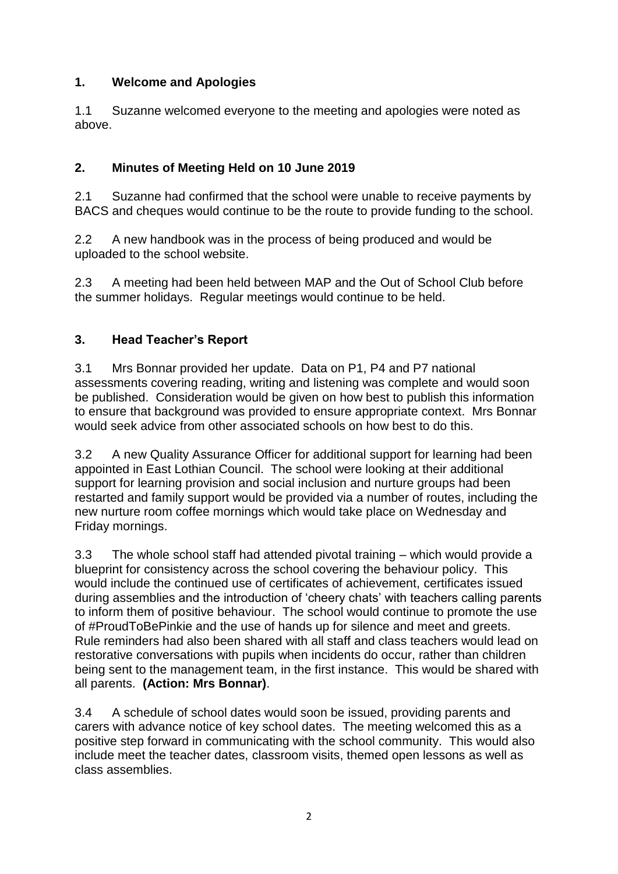## **1. Welcome and Apologies**

1.1 Suzanne welcomed everyone to the meeting and apologies were noted as above.

# **2. Minutes of Meeting Held on 10 June 2019**

2.1 Suzanne had confirmed that the school were unable to receive payments by BACS and cheques would continue to be the route to provide funding to the school.

2.2 A new handbook was in the process of being produced and would be uploaded to the school website.

2.3 A meeting had been held between MAP and the Out of School Club before the summer holidays. Regular meetings would continue to be held.

# **3. Head Teacher's Report**

3.1 Mrs Bonnar provided her update. Data on P1, P4 and P7 national assessments covering reading, writing and listening was complete and would soon be published. Consideration would be given on how best to publish this information to ensure that background was provided to ensure appropriate context. Mrs Bonnar would seek advice from other associated schools on how best to do this.

3.2 A new Quality Assurance Officer for additional support for learning had been appointed in East Lothian Council. The school were looking at their additional support for learning provision and social inclusion and nurture groups had been restarted and family support would be provided via a number of routes, including the new nurture room coffee mornings which would take place on Wednesday and Friday mornings.

3.3 The whole school staff had attended pivotal training – which would provide a blueprint for consistency across the school covering the behaviour policy. This would include the continued use of certificates of achievement, certificates issued during assemblies and the introduction of 'cheery chats' with teachers calling parents to inform them of positive behaviour. The school would continue to promote the use of #ProudToBePinkie and the use of hands up for silence and meet and greets. Rule reminders had also been shared with all staff and class teachers would lead on restorative conversations with pupils when incidents do occur, rather than children being sent to the management team, in the first instance. This would be shared with all parents. **(Action: Mrs Bonnar)**.

3.4 A schedule of school dates would soon be issued, providing parents and carers with advance notice of key school dates. The meeting welcomed this as a positive step forward in communicating with the school community. This would also include meet the teacher dates, classroom visits, themed open lessons as well as class assemblies.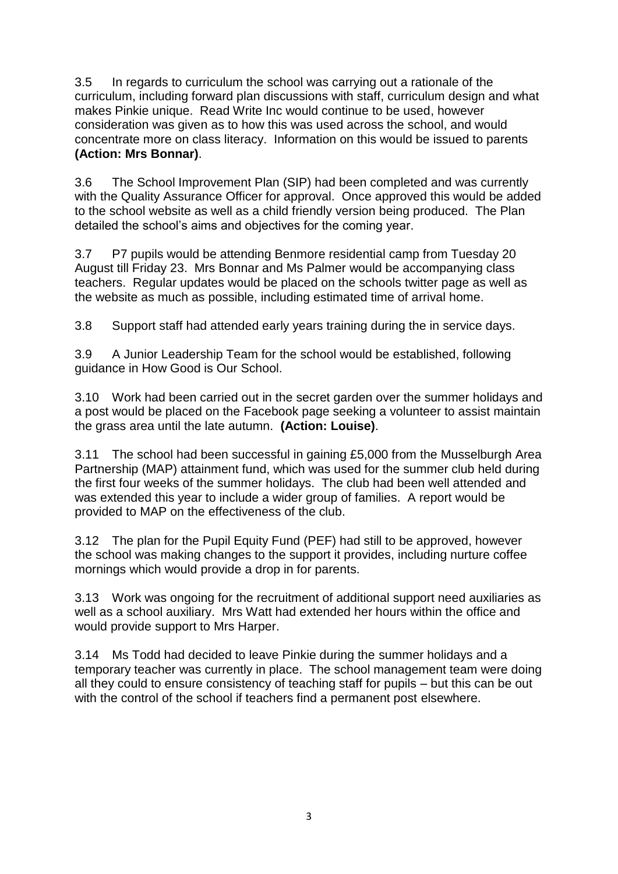3.5 In regards to curriculum the school was carrying out a rationale of the curriculum, including forward plan discussions with staff, curriculum design and what makes Pinkie unique. Read Write Inc would continue to be used, however consideration was given as to how this was used across the school, and would concentrate more on class literacy. Information on this would be issued to parents **(Action: Mrs Bonnar)**.

3.6 The School Improvement Plan (SIP) had been completed and was currently with the Quality Assurance Officer for approval. Once approved this would be added to the school website as well as a child friendly version being produced. The Plan detailed the school's aims and objectives for the coming year.

3.7 P7 pupils would be attending Benmore residential camp from Tuesday 20 August till Friday 23. Mrs Bonnar and Ms Palmer would be accompanying class teachers. Regular updates would be placed on the schools twitter page as well as the website as much as possible, including estimated time of arrival home.

3.8 Support staff had attended early years training during the in service days.

3.9 A Junior Leadership Team for the school would be established, following guidance in How Good is Our School.

3.10 Work had been carried out in the secret garden over the summer holidays and a post would be placed on the Facebook page seeking a volunteer to assist maintain the grass area until the late autumn. **(Action: Louise)**.

3.11 The school had been successful in gaining £5,000 from the Musselburgh Area Partnership (MAP) attainment fund, which was used for the summer club held during the first four weeks of the summer holidays. The club had been well attended and was extended this year to include a wider group of families. A report would be provided to MAP on the effectiveness of the club.

3.12 The plan for the Pupil Equity Fund (PEF) had still to be approved, however the school was making changes to the support it provides, including nurture coffee mornings which would provide a drop in for parents.

3.13 Work was ongoing for the recruitment of additional support need auxiliaries as well as a school auxiliary. Mrs Watt had extended her hours within the office and would provide support to Mrs Harper.

3.14 Ms Todd had decided to leave Pinkie during the summer holidays and a temporary teacher was currently in place. The school management team were doing all they could to ensure consistency of teaching staff for pupils – but this can be out with the control of the school if teachers find a permanent post elsewhere.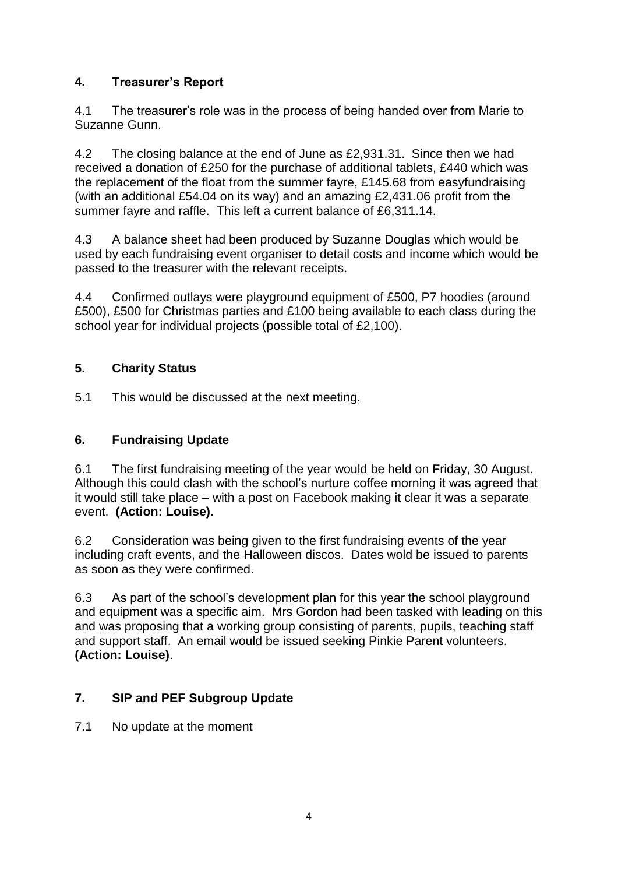## **4. Treasurer's Report**

4.1 The treasurer's role was in the process of being handed over from Marie to Suzanne Gunn.

4.2 The closing balance at the end of June as £2,931.31. Since then we had received a donation of £250 for the purchase of additional tablets, £440 which was the replacement of the float from the summer fayre, £145.68 from easyfundraising (with an additional £54.04 on its way) and an amazing £2,431.06 profit from the summer fayre and raffle. This left a current balance of £6,311.14.

4.3 A balance sheet had been produced by Suzanne Douglas which would be used by each fundraising event organiser to detail costs and income which would be passed to the treasurer with the relevant receipts.

4.4 Confirmed outlays were playground equipment of £500, P7 hoodies (around £500), £500 for Christmas parties and £100 being available to each class during the school year for individual projects (possible total of £2,100).

## **5. Charity Status**

5.1 This would be discussed at the next meeting.

#### **6. Fundraising Update**

6.1 The first fundraising meeting of the year would be held on Friday, 30 August. Although this could clash with the school's nurture coffee morning it was agreed that it would still take place – with a post on Facebook making it clear it was a separate event. **(Action: Louise)**.

6.2 Consideration was being given to the first fundraising events of the year including craft events, and the Halloween discos. Dates wold be issued to parents as soon as they were confirmed.

6.3 As part of the school's development plan for this year the school playground and equipment was a specific aim. Mrs Gordon had been tasked with leading on this and was proposing that a working group consisting of parents, pupils, teaching staff and support staff. An email would be issued seeking Pinkie Parent volunteers. **(Action: Louise)**.

## **7. SIP and PEF Subgroup Update**

7.1 No update at the moment